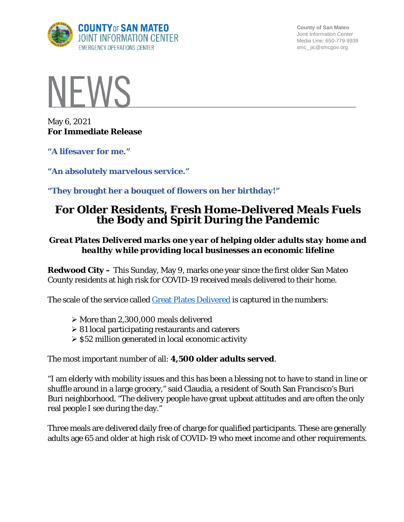

**County of San Mateo** Joint Information Center Media Line: 650-779-9939 smc\_ jic@smcgov.org



May 6, 2021 **For Immediate Release**

**"A lifesaver for me."**

**"An absolutely marvelous service."**

**"They brought her a bouquet of flowers on her birthday!"**

# **For Older Residents, Fresh Home-Delivered Meals Fuels the Body and Spirit During the Pandemic**

## *Great Plates Delivered marks one year of helping older adults stay home and healthy while providing local businesses an economic lifeline*

**Redwood City –** This Sunday, May 9, marks one year since the first older San Mateo County residents at high risk for COVID-19 received meals delivered to their home.

The scale of the service called [Great Plates Delivered](https://www.smchealth.org/post/great-plates-delivered-faqs) is captured in the numbers:

- $\triangleright$  More than 2,300,000 meals delivered
- $\geq 81$  local participating restaurants and caterers
- $\geq$  \$52 million generated in local economic activity

The most important number of all: **4,500 older adults served**.

"I am elderly with mobility issues and this has been a blessing not to have to stand in line or shuffle around in a large grocery," said Claudia, a resident of South San Francisco's Buri Buri neighborhood. "The delivery people have great upbeat attitudes and are often the only real people I see during the day."

Three meals are delivered daily free of charge for qualified participants. These are generally adults age 65 and older at high risk of COVID-19 who meet income and other requirements.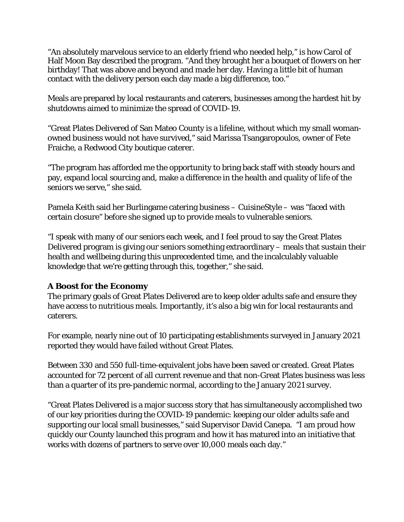"An absolutely marvelous service to an elderly friend who needed help," is how Carol of Half Moon Bay described the program. "And they brought her a bouquet of flowers on her birthday! That was above and beyond and made her day. Having a little bit of human contact with the delivery person each day made a big difference, too."

Meals are prepared by local restaurants and caterers, businesses among the hardest hit by shutdowns aimed to minimize the spread of COVID-19.

"Great Plates Delivered of San Mateo County is a lifeline, without which my small womanowned business would not have survived," said Marissa Tsangaropoulos, owner of Fete Fraiche, a Redwood City boutique caterer.

"The program has afforded me the opportunity to bring back staff with steady hours and pay, expand local sourcing and, make a difference in the health and quality of life of the seniors we serve," she said.

Pamela Keith said her Burlingame catering business – CuisineStyle – was "faced with certain closure" before she signed up to provide meals to vulnerable seniors.

"I speak with many of our seniors each week, and I feel proud to say the Great Plates Delivered program is giving our seniors something extraordinary – meals that sustain their health and wellbeing during this unprecedented time, and the incalculably valuable knowledge that we're getting through this, together," she said.

### **A Boost for the Economy**

The primary goals of Great Plates Delivered are to keep older adults safe and ensure they have access to nutritious meals. Importantly, it's also a big win for local restaurants and caterers.

For example, nearly nine out of 10 participating establishments surveyed in January 2021 reported they would have failed without Great Plates.

Between 330 and 550 full-time-equivalent jobs have been saved or created. Great Plates accounted for 72 percent of all current revenue and that non-Great Plates business was less than a quarter of its pre-pandemic normal, according to the January 2021 survey.

"Great Plates Delivered is a major success story that has simultaneously accomplished two of our key priorities during the COVID-19 pandemic: keeping our older adults safe and supporting our local small businesses," said Supervisor David Canepa. "I am proud how quickly our County launched this program and how it has matured into an initiative that works with dozens of partners to serve over 10,000 meals each day."